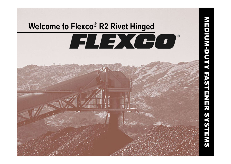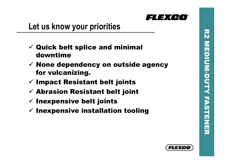

## **Let us know your priorities**

- $\checkmark$  Quick belt splice and minimal downtime
- $\checkmark$  None dependency on outside agency for vulcanizing.
- $\checkmark$  Impact Resistant belt joints
- $\checkmark$  Abrasion Resistant belt joint
- $\checkmark$  Inexpensive belt joints
- $\checkmark$  Inexpensive installation tooling

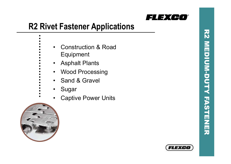

# **R2 Rivet Fastener Applications**

- Construction & Road
- Equipment
- Asphalt Plants
- Wood Processing
- Sand & Gravel
- Sugar
- Captive Power Units



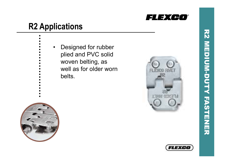

## **R2 Applications**

• Designed for rubber plied and PVC solid woven belting, as well as for older worn belts.





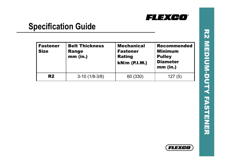

## **Specification Guide**

| <b>Fastener</b><br><b>Size</b> | <b>Belt Thickness</b><br><b>Range</b><br>$mm$ (in.) | <b>Mechanical</b><br><b>Fastener</b><br><b>Rating</b><br>kN/m (P.I.W.) | <b>Recommended</b><br><b>Minimum</b><br><b>Pulley</b><br><b>Diameter</b><br>$mm$ (in.) |
|--------------------------------|-----------------------------------------------------|------------------------------------------------------------------------|----------------------------------------------------------------------------------------|
| <b>R2</b>                      | $3-10(1/8-3/8)$                                     | 60 (330)                                                               | 127(5)                                                                                 |

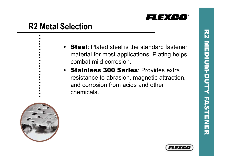

## **R2 Metal Selection**

- **Steel:** Plated steel is the standard fastener material for most applications. Plating helps combat mild corrosion.
- Stainless 300 Series: Provides extra resistance to abrasion, magnetic attraction, and corrosion from acids and other chemicals.





R2 MEDIUM

MEDIUM-DUTY

**KN** 

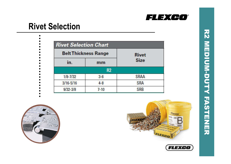

#### **Rivet Selection**

| <b>Rivet Selection Chart</b> |                |             |  |  |
|------------------------------|----------------|-------------|--|--|
| <b>Belt Thickness Range</b>  | <b>Rivet</b>   |             |  |  |
| in.                          | mm             | <b>Size</b> |  |  |
|                              | R <sub>2</sub> |             |  |  |
| $1/8 - 7/32$                 | $3 - 6$        | SRAA        |  |  |
| $3/16 - 5/16$                | $4 - 8$        | <b>SRA</b>  |  |  |
| $9/32 - 3/8$                 | $7 - 10$       | <b>SRB</b>  |  |  |





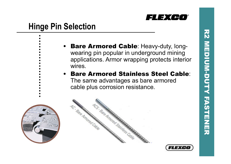

71 D.C

## **Hinge Pin Selection**

- **Bare Armored Cable:** Heavy-duty, longwearing pin popular in underground mining applications. Armor wrapping protects interior wires.
- Bare Armored Stainless Steel Cable: The same advantages as bare armored cable plus corrosion resistance.







**KN**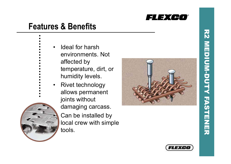

### **Features & Benefits**

- Ideal for harsh
	- environments. Not
	- affected by
	- temperature, dirt, or humidity levels.
	- Rivet technology allows permanent joints without
		- damaging carcass.

• Can be installed by local crew with simple tools.





 $\overline{\mathbf{z}}$ 

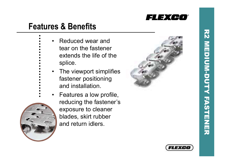

#### **Features & Benefits**

- Reduced wear and tear on the fastener extends the life of the splice.
- The viewport simplifies fastener positioning and installation.
	- Features a low profile, reducing the fastener's exposure to cleaner blades, skirt rubber and return idlers.





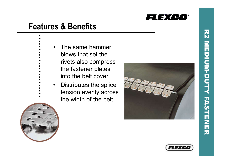

#### **Features & Benefits**

- The same hammer
	- blows that set the
	- rivets also compress the fastener plates into the belt cover.
- Distributes the splice tension evenly across the width of the belt.





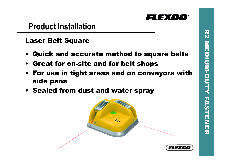

#### **Product Installation**

#### Laser Belt Square

- Quick and accurate method to square belts
- Great for on-site and for belt shops
- For use in tight areas and on conveyors with side pans
- Sealed from dust and water spray

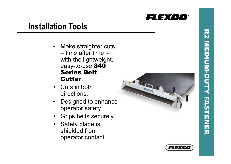

#### **Installation Tools**

- Make straighter cuts time after time with the lightweight, easy-to-use **840** Series Belt Cutter .
- Cuts in both directions.
- Designed to enhance operator safety.
- Grips belts securely.
- Safety blade is shielded from operator contact.



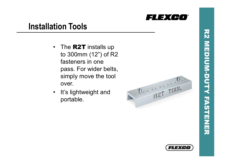

### **Installation Tools**

- The R2T installs up to 300mm (12") of R2 fasteners in one pass. For wider belts, simply move the tool over.
- It's lightweight and portable.